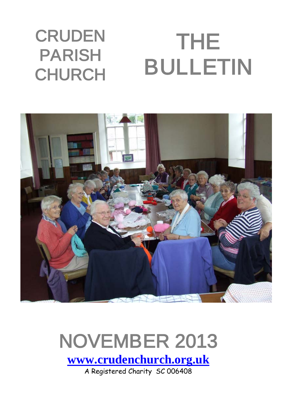#### **CRUDEN** PARISH **CHURCH** THE BULLETIN



# NOVEMBER 2013

**[www.crudenchurch.org.uk](http://www.crudenchurch.org.uk/)**

A Registered Charity SC 006408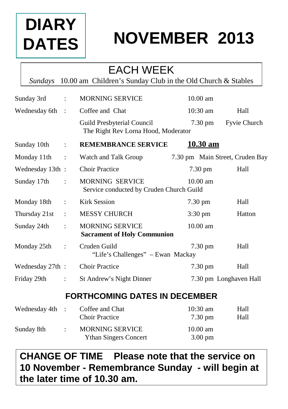# **DIARY DATES**

# **NOVEMBER 2013**

#### EACH WEEK

*Sundays* 10.00 am Children's Sunday Club in the Old Church & Stables

| Sunday 3rd       | $\ddot{\cdot}$            | <b>MORNING SERVICE</b>                                                                   |  | $10.00$ am         |                                 |
|------------------|---------------------------|------------------------------------------------------------------------------------------|--|--------------------|---------------------------------|
| Wednesday 6th :  |                           | Coffee and Chat                                                                          |  | $10:30 \text{ am}$ | Hall                            |
|                  |                           | Guild Presbyterial Council<br>The Right Rev Lorna Hood, Moderator                        |  | 7.30 pm            | Fyvie Church                    |
| Sunday 10th      | $\mathbb{R}^{\mathbb{Z}}$ | <b>REMEMBRANCE SERVICE</b>                                                               |  | <u>10.30 am</u>    |                                 |
| Monday $11th$ :  |                           | Watch and Talk Group                                                                     |  |                    | 7.30 pm Main Street, Cruden Bay |
| Wednesday 13th:  |                           | <b>Choir Practice</b>                                                                    |  | 7.30 pm<br>Hall    |                                 |
| Sunday 17th      | $\ddot{\cdot}$            | <b>MORNING SERVICE</b><br>$10.00 \text{ am}$<br>Service conducted by Cruden Church Guild |  |                    |                                 |
| Monday 18th      | $\ddot{\cdot}$            | <b>Kirk Session</b>                                                                      |  | $7.30 \text{ pm}$  | Hall                            |
| Thursday 21st    | $\ddot{\cdot}$            | <b>MESSY CHURCH</b>                                                                      |  | $3:30 \text{ pm}$  | Hatton                          |
| Sunday 24th      | $\ddot{\cdot}$            | <b>MORNING SERVICE</b><br><b>Sacrament of Holy Communion</b>                             |  | $10.00$ am         |                                 |
| Monday 25th      | $\ddot{\cdot}$            | Cruden Guild<br>"Life's Challenges" - Ewan Mackay                                        |  | $7.30 \text{ pm}$  | Hall                            |
| Wednesday 27th : |                           | <b>Choir Practice</b>                                                                    |  | $7.30 \text{ pm}$  | Hall                            |
| Friday 29th      | $\ddot{\cdot}$            | St Andrew's Night Dinner                                                                 |  |                    | 7.30 pm Longhaven Hall          |

#### **FORTHCOMING DATES IN DECEMBER**

| Wednesday 4th : |  | Coffee and Chat<br><b>Choir Practice</b>               | $10:30 \text{ am}$<br>$7.30 \text{ pm}$ | Hall<br>Hall |
|-----------------|--|--------------------------------------------------------|-----------------------------------------|--------------|
| Sunday 8th      |  | <b>MORNING SERVICE</b><br><b>Ythan Singers Concert</b> | $10.00 \text{ am}$<br>$3.00 \text{ pm}$ |              |

**CHANGE OF TIME Please note that the service on 10 November - Remembrance Sunday - will begin at the later time of 10.30 am.**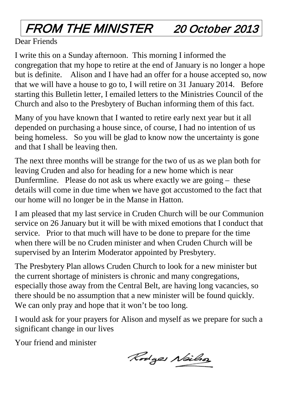# FROM THE MINISTER 20 October 2013

#### Dear Friends

I write this on a Sunday afternoon. This morning I informed the congregation that my hope to retire at the end of January is no longer a hope but is definite. Alison and I have had an offer for a house accepted so, now that we will have a house to go to, I will retire on 31 January 2014. Before starting this Bulletin letter, I emailed letters to the Ministries Council of the Church and also to the Presbytery of Buchan informing them of this fact.

Many of you have known that I wanted to retire early next year but it all depended on purchasing a house since, of course, I had no intention of us being homeless. So you will be glad to know now the uncertainty is gone and that I shall be leaving then.

The next three months will be strange for the two of us as we plan both for leaving Cruden and also for heading for a new home which is near Dunfermline. Please do not ask us where exactly we are going – these details will come in due time when we have got accustomed to the fact that our home will no longer be in the Manse in Hatton.

I am pleased that my last service in Cruden Church will be our Communion service on 26 January but it will be with mixed emotions that I conduct that service. Prior to that much will have to be done to prepare for the time when there will be no Cruden minister and when Cruden Church will be supervised by an Interim Moderator appointed by Presbytery.

The Presbytery Plan allows Cruden Church to look for a new minister but the current shortage of ministers is chronic and many congregations, especially those away from the Central Belt, are having long vacancies, so there should be no assumption that a new minister will be found quickly. We can only pray and hope that it won't be too long.

I would ask for your prayers for Alison and myself as we prepare for such a significant change in our lives

Your friend and minister

Rodges Nailso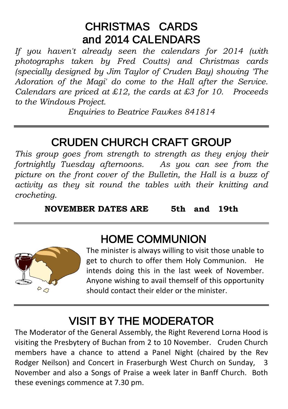#### CHRISTMAS CARDS and 2014 CALENDARS

*If you haven't already seen the calendars for 2014 (with photographs taken by Fred Coutts) and Christmas cards (specially designed by Jim Taylor of Cruden Bay) showing 'The Adoration of the Magi' do come to the Hall after the Service. Calendars are priced at £12, the cards at £3 for 10. Proceeds to the Windows Project.* 

*Enquiries to Beatrice Fawkes 841814*

#### CRUDEN CHURCH CRAFT GROUP

*This group goes from strength to strength as they enjoy their fortnightly Tuesday afternoons. As you can see from the picture on the front cover of the Bulletin, the Hall is a buzz of activity as they sit round the tables with their knitting and crocheting.*

**NOVEMBER DATES ARE 5th and 19th**



### HOME COMMUNION

The minister is always willing to visit those unable to get to church to offer them Holy Communion. He intends doing this in the last week of November. Anyone wishing to avail themself of this opportunity should contact their elder or the minister.

#### VISIT BY THE MODERATOR

The Moderator of the General Assembly, the Right Reverend Lorna Hood is visiting the Presbytery of Buchan from 2 to 10 November. Cruden Church members have a chance to attend a Panel Night (chaired by the Rev Rodger Neilson) and Concert in Fraserburgh West Church on Sunday, November and also a Songs of Praise a week later in Banff Church. Both these evenings commence at 7.30 pm.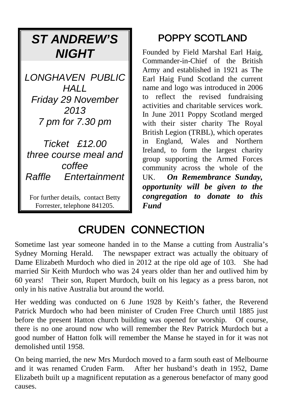### *ST ANDREW'S NIGHT*

*LONGHAVEN PUBLIC HALL Friday 29 November 2013 7 pm for 7.30 pm* 

*Ticket £12.00 three course meal and coffee Raffle Entertainment*

For further details, contact Betty Forrester, telephone 841205.

#### POPPY SCOTLAND

Founded by Field Marshal Earl Haig, Commander-in-Chief of the British Army and established in 1921 as The Earl Haig Fund Scotland the current name and logo was introduced in 2006 to reflect the revised fundraising activities and charitable services work. In June 2011 Poppy Scotland merged with their sister charity The Royal British Legion (TRBL), which operates in England, Wales and Northern Ireland, to form the largest charity group supporting the Armed Forces community across the whole of the UK. *On Remembrance Sunday, opportunity will be given to the congregation to donate to this Fund*

#### CRUDEN CONNECTION

Sometime last year someone handed in to the Manse a cutting from Australia's Sydney Morning Herald. The newspaper extract was actually the obituary of Dame Elizabeth Murdoch who died in 2012 at the ripe old age of 103. She had married Sir Keith Murdoch who was 24 years older than her and outlived him by 60 years! Their son, Rupert Murdoch, built on his legacy as a press baron, not only in his native Australia but around the world.

Her wedding was conducted on 6 June 1928 by Keith's father, the Reverend Patrick Murdoch who had been minister of Cruden Free Church until 1885 just before the present Hatton church building was opened for worship. Of course, there is no one around now who will remember the Rev Patrick Murdoch but a good number of Hatton folk will remember the Manse he stayed in for it was not demolished until 1958.

On being married, the new Mrs Murdoch moved to a farm south east of Melbourne and it was renamed Cruden Farm. After her husband's death in 1952, Dame Elizabeth built up a magnificent reputation as a generous benefactor of many good causes.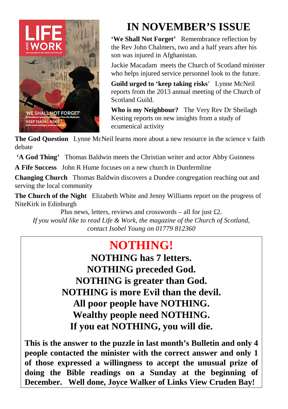

#### **IN NOVEMBER'S ISSUE**

**'We Shall Not Forget'** Remembrance reflection by the Rev John Chalmers, two and a half years after his son was injured in Afghanistan.

Jackie Macadam meets the Church of Scotland minister who helps injured service personnel look to the future.

**Guild urged to 'keep taking risks**' Lynne McNeil reports from the 2013 annual meeting of the Church of Scotland Guild.

**Who is my Neighbour?** The Very Rev Dr Sheilagh Kesting reports on new insights from a study of ecumenical activity

**The God Question** Lynne McNeil learns more about a new resource in the science v faith debate

**'A God Thing'** Thomas Baldwin meets the Christian writer and actor Abby Guinness

**A Fife Success** John R Hume focuses on a new church in Dunfermline

**Changing Church** Thomas Baldwin discovers a Dundee congregation reaching out and serving the local community

**The Church of the Night** Elizabeth White and Jenny Williams report on the progress of NiteKirk in Edinburgh

Plus news, letters, reviews and crosswords – all for just £2. *If you would like to read Life & Work, the magazine of the Church of Scotland, contact Isobel Young on 01779 812360*

#### **NOTHING!**

**NOTHING has 7 letters. NOTHING preceded God. NOTHING is greater than God. NOTHING is more Evil than the devil. All poor people have NOTHING. Wealthy people need NOTHING. If you eat NOTHING, you will die.**

**This is the answer to the puzzle in last month's Bulletin and only 4 people contacted the minister with the correct answer and only 1 of those expressed a willingness to accept the unusual prize of doing the Bible readings on a Sunday at the beginning of December. Well done, Joyce Walker of Links View Cruden Bay!**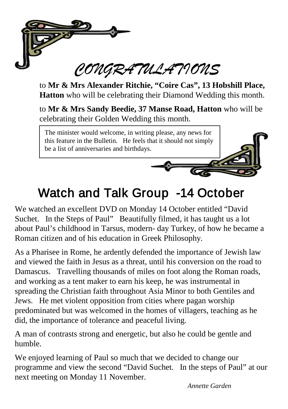

to **Mr & Mrs Alexander Ritchie, "Coire Cas", 13 Hobshill Place, Hatton** who will be celebrating their Diamond Wedding this month.

to **Mr & Mrs Sandy Beedie, 37 Manse Road, Hatton** who will be celebrating their Golden Wedding this month.

The minister would welcome, in writing please, any news for this feature in the Bulletin. He feels that it should not simply be a list of anniversaries and birthdays.

# Watch and Talk Group -14 October

We watched an excellent DVD on Monday 14 October entitled "David Suchet. In the Steps of Paul" Beautifully filmed, it has taught us a lot about Paul's childhood in Tarsus, modern- day Turkey, of how he became a Roman citizen and of his education in Greek Philosophy.

As a Pharisee in Rome, he ardently defended the importance of Jewish law and viewed the faith in Jesus as a threat, until his conversion on the road to Damascus. Travelling thousands of miles on foot along the Roman roads, and working as a tent maker to earn his keep, he was instrumental in spreading the Christian faith throughout Asia Minor to both Gentiles and Jews. He met violent opposition from cities where pagan worship predominated but was welcomed in the homes of villagers, teaching as he did, the importance of tolerance and peaceful living.

A man of contrasts strong and energetic, but also he could be gentle and humble.

We enjoyed learning of Paul so much that we decided to change our programme and view the second "David Suchet. In the steps of Paul" at our next meeting on Monday 11 November.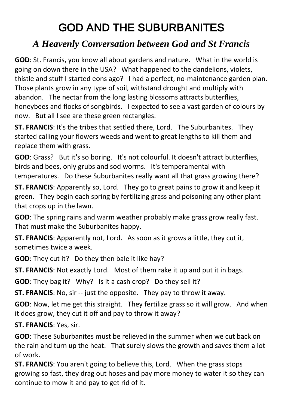# GOD AND THE SUBURBANITES

#### *A Heavenly Conversation between God and St Francis*

**GOD**: St. Francis, you know all about gardens and nature. What in the world is going on down there in the USA? What happened to the dandelions, violets, thistle and stuff I started eons ago? I had a perfect, no-maintenance garden plan. Those plants grow in any type of soil, withstand drought and multiply with abandon. The nectar from the long lasting blossoms attracts butterflies, honeybees and flocks of songbirds. I expected to see a vast garden of colours by now. But all I see are these green rectangles.

**ST. FRANCIS**: It's the tribes that settled there, Lord. The Suburbanites. They started calling your flowers weeds and went to great lengths to kill them and replace them with grass.

**GOD**: Grass? But it's so boring. It's not colourful. It doesn't attract butterflies, birds and bees, only grubs and sod worms. It's temperamental with temperatures. Do these Suburbanites really want all that grass growing there?

**ST. FRANCIS**: Apparently so, Lord. They go to great pains to grow it and keep it green. They begin each spring by fertilizing grass and poisoning any other plant that crops up in the lawn.

**GOD**: The spring rains and warm weather probably make grass grow really fast. That must make the Suburbanites happy.

**ST. FRANCIS**: Apparently not, Lord. As soon as it grows a little, they cut it, sometimes twice a week.

**GOD**: They cut it? Do they then bale it like hay?

**ST. FRANCIS**: Not exactly Lord. Most of them rake it up and put it in bags.

**GOD**: They bag it? Why? Is it a cash crop? Do they sell it?

**ST. FRANCIS:** No, sir -- just the opposite. They pay to throw it away.

**GOD**: Now, let me get this straight. They fertilize grass so it will grow. And when it does grow, they cut it off and pay to throw it away?

**ST. FRANCIS**: Yes, sir.

**GOD**: These Suburbanites must be relieved in the summer when we cut back on the rain and turn up the heat. That surely slows the growth and saves them a lot of work.

**ST. FRANCIS**: You aren't going to believe this, Lord. When the grass stops growing so fast, they drag out hoses and pay more money to water it so they can continue to mow it and pay to get rid of it.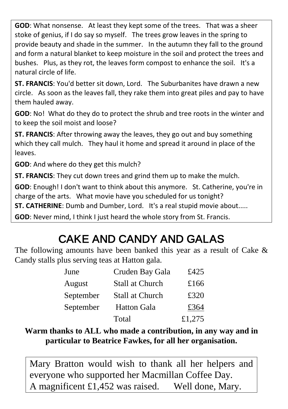**GOD**: What nonsense. At least they kept some of the trees. That was a sheer stoke of genius, if I do say so myself. The trees grow leaves in the spring to provide beauty and shade in the summer. In the autumn they fall to the ground and form a natural blanket to keep moisture in the soil and protect the trees and bushes. Plus, as they rot, the leaves form compost to enhance the soil. It's a natural circle of life.

**ST. FRANCIS**: You'd better sit down, Lord. The Suburbanites have drawn a new circle. As soon as the leaves fall, they rake them into great piles and pay to have them hauled away.

**GOD**: No! What do they do to protect the shrub and tree roots in the winter and to keep the soil moist and loose?

**ST. FRANCIS**: After throwing away the leaves, they go out and buy something which they call mulch. They haul it home and spread it around in place of the leaves.

**GOD**: And where do they get this mulch?

**ST. FRANCIS**: They cut down trees and grind them up to make the mulch.

**GOD**: Enough! I don't want to think about this anymore. St. Catherine, you're in charge of the arts. What movie have you scheduled for us tonight?

**ST. CATHERINE:** Dumb and Dumber, Lord. It's a real stupid movie about.....

**GOD**: Never mind, I think I just heard the whole story from St. Francis.

## CAKE AND CANDY AND GALAS

The following amounts have been banked this year as a result of Cake & Candy stalls plus serving teas at Hatton gala.

| June      | Cruden Bay Gala        | £425   |
|-----------|------------------------|--------|
| August    | <b>Stall at Church</b> | £166   |
| September | <b>Stall at Church</b> | £320   |
| September | <b>Hatton Gala</b>     | £364   |
|           | Total                  | £1,275 |

**Warm thanks to ALL who made a contribution, in any way and in particular to Beatrice Fawkes, for all her organisation.**

Mary Bratton would wish to thank all her helpers and everyone who supported her Macmillan Coffee Day. A magnificent £1,452 was raised. Well done, Mary.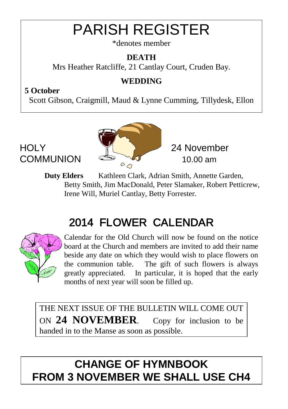# PARISH REGISTER

\*denotes member

#### **DEATH**

Mrs Heather Ratcliffe, 21 Cantlay Court, Cruden Bay.

#### **WEDDING**

#### **5 October**

Scott Gibson, Craigmill, Maud & Lynne Cumming, Tillydesk, Ellon



**Duty Elders** Kathleen Clark, Adrian Smith, Annette Garden, Betty Smith, Jim MacDonald, Peter Slamaker, Robert Petticrew, Irene Will, Muriel Cantlay, Betty Forrester.

## 2014 FLOWER CALENDAR



Calendar for the Old Church will now be found on the notice board at the Church and members are invited to add their name beside any date on which they would wish to place flowers on the communion table. The gift of such flowers is always greatly appreciated. In particular, it is hoped that the early months of next year will soon be filled up.

THE NEXT ISSUE OF THE BULLETIN WILL COME OUT ON **24 NOVEMBER**. Copy for inclusion to be handed in to the Manse as soon as possible.

#### **CHANGE OF HYMNBOOK FROM 3 NOVEMBER WE SHALL USE CH4**